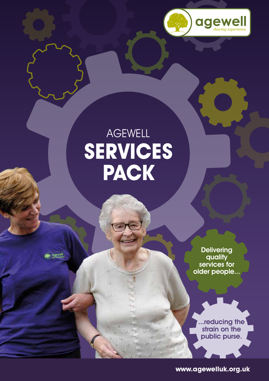

## AGEWELL **SERVICES PACK**

**pewre** 

**Delivering** quality services for older people...

...reducing the strain on the public purse.

**www.agewelluk.org.uk**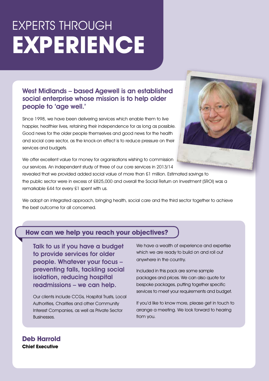# EXPERTS THROUGH **EXPERIENCE**

#### West Midlands – based Agewell is an established social enterprise whose mission is to help older people to 'age well.'

Since 1998, we have been delivering services which enable them to live happier, healthier lives, retaining their independence for as long as possible. Good news for the older people themselves and good news for the health and social care sector, as the knock-on effect is to reduce pressure on their services and budgets.



We offer excellent value for money for organisations wishing to commission our services. An independent study of three of our core services in 2013/14

revealed that we provided added social value of more than £1 million. Estimated savings to the public sector were in excess of £825,000 and overall the Social Return on Investment (SROI) was a remarkable £44 for every £1 spent with us.

We adopt an integrated approach, bringing health, social care and the third sector together to achieve the best outcome for all concerned.

#### **How can we help you reach your objectives?**

Talk to us if you have a budget to provide services for older people. Whatever your focus – preventing falls, tackling social isolation, reducing hospital readmissions – we can help.

Our clients include CCGs, Hospital Trusts, Local Authorities, Charities and other Community Interest Companies, as well as Private Sector Businesses.

We have a wealth of experience and expertise which we are ready to build on and roll out anywhere in the country.

Included in this pack are some sample packages and prices. We can also quote for bespoke packages, putting together specific services to meet your requirements and budget.

If you'd like to know more, please get in touch to arrange a meeting. We look forward to hearing from you.

#### **Deb Harrold Chief Executive**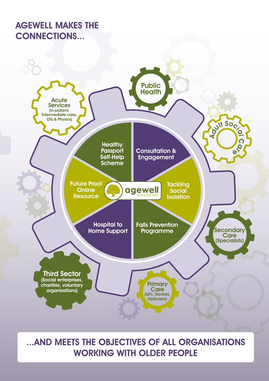#### AGEWELL MAKES THE CONNECTIONS...



### ...AND MEETS THE OBJECTIVES OF ALL ORGANISATIONS WORKING WITH OLDER PEOPLE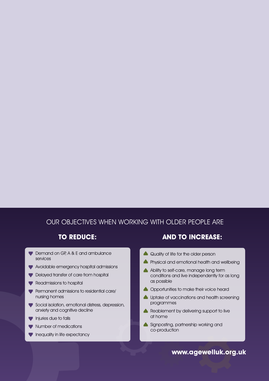#### OUR OBJECTIVES WHEN WORKING WITH OLDER PEOPLE ARE

- Demand on GP, A & E and ambulance services
- Avoidable emergency hospital admissions
- Delayed transfer of care from hospital
- Readmissions to hospital
- Permanent admissions to residential care/ nursing homes
- Social isolation, emotional distress, depression, anxiety and cognitive decline
- **Injuries due to falls**
- Number of medications
- Inequality in life expectancy

#### **TO REDUCE: AND TO INCREASE:**

- Quality of life for the older person
- **A** Physical and emotional health and wellbeing
- A Ability to self-care, manage long term conditions and live independently for as long as possible
- **A** Opportunities to make their voice heard
- **A** Uptake of vaccinations and health screening programmes
- Reablement by delivering support to live at home
- Signposting, partnership working and co-production

#### **www.agewelluk.org.uk**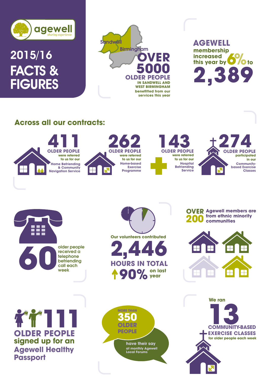

### 2015/16 FACTS & **FIGURES**



**functional membership**<br> **this year by increased 2,389 AGEWELL**

#### **Across all our contracts:**



**folder people**<br> **folder people**<br> **following**<br> **following**<br> **following**<br> **following**<br> **following**<br> **following**<br> **following**<br> **following**<br> **following** received a telephone befriending call each week

**on last year 2,446 Our volunteers contributed HOURS IN TOTAL 90%**

**OVER Agewell members are 200 from ethnic minority communities**



**signed up for an Agewell Healthy Passport OLDER PEOPLE 111**